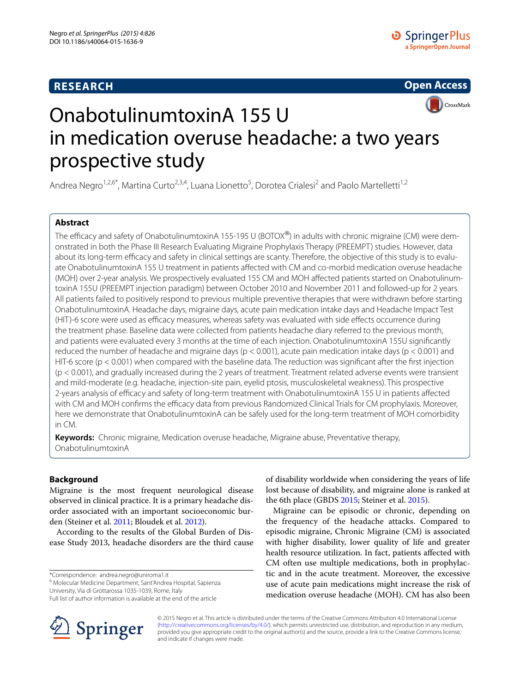# **RESEARCH**

**Open Access CrossMark** 

# OnabotulinumtoxinA 155 U in medication overuse headache: a two years prospective study

Andrea Negro<sup>1,2,6\*</sup>, Martina Curto<sup>2,3,4</sup>, Luana Lionetto<sup>5</sup>, Dorotea Crialesi<sup>2</sup> and Paolo Martelletti<sup>1,2</sup>

# **Abstract**

The efficacy and safety of OnabotulinumtoxinA 155-195 U (BOTOX<sup>®</sup>) in adults with chronic migraine (CM) were demonstrated in both the Phase III Research Evaluating Migraine Prophylaxis Therapy (PREEMPT) studies. However, data about its long-term efficacy and safety in clinical settings are scanty. Therefore, the objective of this study is to evaluate OnabotulinumtoxinA 155 U treatment in patients affected with CM and co-morbid medication overuse headache (MOH) over 2-year analysis. We prospectively evaluated 155 CM and MOH affected patients started on OnabotulinumtoxinA 155U (PREEMPT injection paradigm) between October 2010 and November 2011 and followed-up for 2 years. All patients failed to positively respond to previous multiple preventive therapies that were withdrawn before starting OnabotulinumtoxinA. Headache days, migraine days, acute pain medication intake days and Headache Impact Test (HIT)-6 score were used as efficacy measures, whereas safety was evaluated with side effects occurrence during the treatment phase. Baseline data were collected from patients headache diary referred to the previous month, and patients were evaluated every 3 months at the time of each injection. OnabotulinumtoxinA 155U significantly reduced the number of headache and migraine days (p < 0.001), acute pain medication intake days (p < 0.001) and HIT-6 score ( $p < 0.001$ ) when compared with the baseline data. The reduction was significant after the first injection (p < 0.001), and gradually increased during the 2 years of treatment. Treatment related adverse events were transient and mild-moderate (e.g. headache, injection-site pain, eyelid ptosis, musculoskeletal weakness). This prospective 2-years analysis of efficacy and safety of long-term treatment with OnabotulinumtoxinA 155 U in patients affected with CM and MOH confirms the efficacy data from previous Randomized Clinical Trials for CM prophylaxis. Moreover, here we demonstrate that OnabotulinumtoxinA can be safely used for the long-term treatment of MOH comorbidity in CM.

**Keywords:** Chronic migraine, Medication overuse headache, Migraine abuse, Preventative therapy, OnabotulinumtoxinA

# **Background**

Migraine is the most frequent neurological disease observed in clinical practice. It is a primary headache disorder associated with an important socioeconomic burden (Steiner et al. [2011;](#page-7-0) Bloudek et al. [2012](#page-7-1)).

According to the results of the Global Burden of Disease Study 2013, headache disorders are the third cause

\*Correspondence: andrea.negro@uniroma1.it

<sup>6</sup> Molecular Medicine Department, Sant'Andrea Hospital, Sapienza

University, Via di Grottarossa 1035-1039, Rome, Italy Full list of author information is available at the end of the article

Migraine can be episodic or chronic, depending on the frequency of the headache attacks. Compared to episodic migraine, Chronic Migraine (CM) is associated with higher disability, lower quality of life and greater health resource utilization. In fact, patients affected with CM often use multiple medications, both in prophylactic and in the acute treatment. Moreover, the excessive use of acute pain medications might increase the risk of medication overuse headache (MOH). CM has also been



© 2015 Negro et al. This article is distributed under the terms of the Creative Commons Attribution 4.0 International License [\(http://creativecommons.org/licenses/by/4.0/\)](http://creativecommons.org/licenses/by/4.0/), which permits unrestricted use, distribution, and reproduction in any medium, provided you give appropriate credit to the original author(s) and the source, provide a link to the Creative Commons license, and indicate if changes were made.

of disability worldwide when considering the years of life lost because of disability, and migraine alone is ranked at the 6th place (GBDS [2015;](#page-7-2) Steiner et al. [2015](#page-7-3)).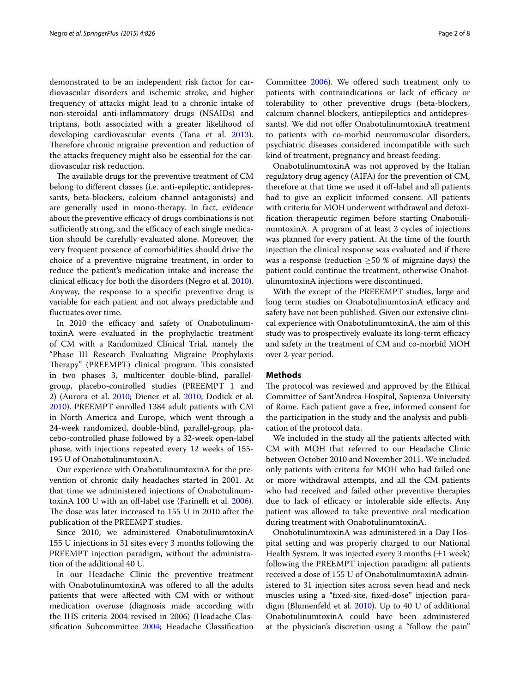demonstrated to be an independent risk factor for cardiovascular disorders and ischemic stroke, and higher frequency of attacks might lead to a chronic intake of non-steroidal anti-inflammatory drugs (NSAIDs) and triptans, both associated with a greater likelihood of developing cardiovascular events (Tana et al. [2013](#page-7-4)). Therefore chronic migraine prevention and reduction of the attacks frequency might also be essential for the cardiovascular risk reduction.

The available drugs for the preventive treatment of CM belong to different classes (i.e. anti-epileptic, antidepressants, beta-blockers, calcium channel antagonists) and are generally used in mono-therapy. In fact, evidence about the preventive efficacy of drugs combinations is not sufficiently strong, and the efficacy of each single medication should be carefully evaluated alone. Moreover, the very frequent presence of comorbidities should drive the choice of a preventive migraine treatment, in order to reduce the patient's medication intake and increase the clinical efficacy for both the disorders (Negro et al. [2010](#page-7-5)). Anyway, the response to a specific preventive drug is variable for each patient and not always predictable and fluctuates over time.

In 2010 the efficacy and safety of OnabotulinumtoxinA were evaluated in the prophylactic treatment of CM with a Randomized Clinical Trial, namely the "Phase III Research Evaluating Migraine Prophylaxis Therapy" (PREEMPT) clinical program. This consisted in two phases 3, multicenter double-blind, parallelgroup, placebo-controlled studies (PREEMPT 1 and 2) (Aurora et al. [2010;](#page-7-6) Diener et al. [2010](#page-7-7); Dodick et al. [2010](#page-7-8)). PREEMPT enrolled 1384 adult patients with CM in North America and Europe, which went through a 24-week randomized, double-blind, parallel-group, placebo-controlled phase followed by a 32-week open-label phase, with injections repeated every 12 weeks of 155- 195 U of OnabotulinumtoxinA.

Our experience with OnabotulinumtoxinA for the prevention of chronic daily headaches started in 2001. At that time we administered injections of OnabotulinumtoxinA 100 U with an off-label use (Farinelli et al. [2006](#page-7-9)). The dose was later increased to 155 U in 2010 after the publication of the PREEMPT studies.

Since 2010, we administered OnabotulinumtoxinA 155 U injections in 31 sites every 3 months following the PREEMPT injection paradigm, without the administration of the additional 40 U.

In our Headache Clinic the preventive treatment with OnabotulinumtoxinA was offered to all the adults patients that were affected with CM with or without medication overuse (diagnosis made according with the IHS criteria 2004 revised in 2006) (Headache Classification Subcommittee [2004;](#page-7-10) Headache Classification patients with contraindications or lack of efficacy or tolerability to other preventive drugs (beta-blockers, calcium channel blockers, antiepileptics and antidepressants). We did not offer OnabotulinumtoxinA treatment to patients with co-morbid neuromuscular disorders, psychiatric diseases considered incompatible with such kind of treatment, pregnancy and breast-feeding.

OnabotulinumtoxinA was not approved by the Italian regulatory drug agency (AIFA) for the prevention of CM, therefore at that time we used it off-label and all patients had to give an explicit informed consent. All patients with criteria for MOH underwent withdrawal and detoxification therapeutic regimen before starting OnabotulinumtoxinA. A program of at least 3 cycles of injections was planned for every patient. At the time of the fourth injection the clinical response was evaluated and if there was a response (reduction  $\geq$ 50 % of migraine days) the patient could continue the treatment, otherwise OnabotulinumtoxinA injections were discontinued.

With the except of the PREEEMPT studies, large and long term studies on OnabotulinumtoxinA efficacy and safety have not been published. Given our extensive clinical experience with OnabotulinumtoxinA, the aim of this study was to prospectively evaluate its long-term efficacy and safety in the treatment of CM and co-morbid MOH over 2-year period.

## **Methods**

The protocol was reviewed and approved by the Ethical Committee of Sant'Andrea Hospital, Sapienza University of Rome. Each patient gave a free, informed consent for the participation in the study and the analysis and publication of the protocol data.

We included in the study all the patients affected with CM with MOH that referred to our Headache Clinic between October 2010 and November 2011. We included only patients with criteria for MOH who had failed one or more withdrawal attempts, and all the CM patients who had received and failed other preventive therapies due to lack of efficacy or intolerable side effects. Any patient was allowed to take preventive oral medication during treatment with OnabotulinumtoxinA.

OnabotulinumtoxinA was administered in a Day Hospital setting and was properly charged to our National Health System. It was injected every 3 months  $(\pm 1$  week) following the PREEMPT injection paradigm: all patients received a dose of 155 U of OnabotulinumtoxinA administered to 31 injection sites across seven head and neck muscles using a "fixed-site, fixed-dose" injection paradigm (Blumenfeld et al. [2010](#page-7-12)). Up to 40 U of additional OnabotulinumtoxinA could have been administered at the physician's discretion using a "follow the pain"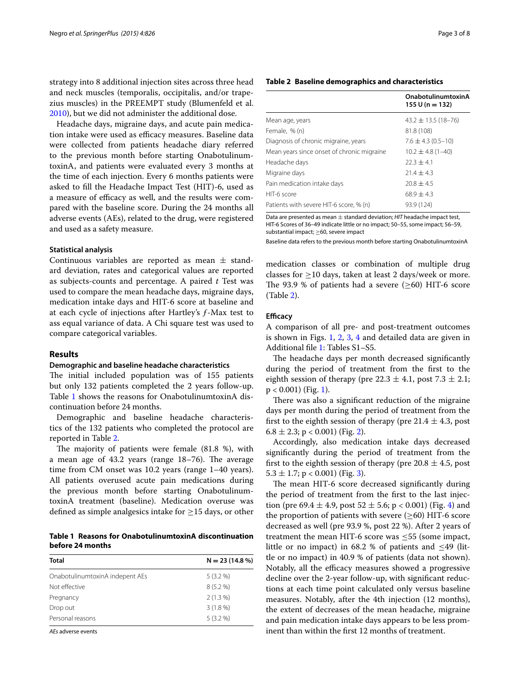strategy into 8 additional injection sites across three head and neck muscles (temporalis, occipitalis, and/or trapezius muscles) in the PREEMPT study (Blumenfeld et al. [2010](#page-7-12)), but we did not administer the additional dose.

Headache days, migraine days, and acute pain medication intake were used as efficacy measures. Baseline data were collected from patients headache diary referred to the previous month before starting OnabotulinumtoxinA, and patients were evaluated every 3 months at the time of each injection. Every 6 months patients were asked to fill the Headache Impact Test (HIT)-6, used as a measure of efficacy as well, and the results were compared with the baseline score. During the 24 months all adverse events (AEs), related to the drug, were registered and used as a safety measure.

# **Statistical analysis**

Continuous variables are reported as mean  $\pm$  standard deviation, rates and categorical values are reported as subjects-counts and percentage. A paired *t* Test was used to compare the mean headache days, migraine days, medication intake days and HIT-6 score at baseline and at each cycle of injections after Hartley's ƒ-Max test to ass equal variance of data. A Chi square test was used to compare categorical variables.

## **Results**

#### **Demographic and baseline headache characteristics**

The initial included population was of 155 patients but only 132 patients completed the 2 years follow-up. Table [1](#page-2-0) shows the reasons for OnabotulinumtoxinA discontinuation before 24 months.

Demographic and baseline headache characteristics of the 132 patients who completed the protocol are reported in Table [2](#page-2-1).

The majority of patients were female (81.8 %), with a mean age of 43.2 years (range 18–76). The average time from CM onset was 10.2 years (range 1–40 years). All patients overused acute pain medications during the previous month before starting OnabotulinumtoxinA treatment (baseline). Medication overuse was defined as simple analgesics intake for  $\geq$ 15 days, or other

<span id="page-2-0"></span>**Table 1 Reasons for OnabotulinumtoxinA discontinuation before 24 months**

| <b>Total</b>                    | $N = 23(14.8\%)$ |
|---------------------------------|------------------|
| OnabotulinumtoxinA indepent AEs | $5(3.2\%)$       |
| Not effective                   | $8(5.2\%)$       |
| Pregnancy                       | $2(1.3\%)$       |
| Drop out                        | $3(1.8\%)$       |
| Personal reasons                | $5(3.2\%)$       |
| A Fradypres overte              |                  |

*AEs* adverse events

## <span id="page-2-1"></span>**Table 2 Baseline demographics and characteristics**

|                                            | OnabotulinumtoxinA<br>$155 U (n = 132)$ |
|--------------------------------------------|-----------------------------------------|
| Mean age, years                            | $43.2 \pm 13.5$ (18-76)                 |
| Female, % (n)                              | 81.8 (108)                              |
| Diagnosis of chronic migraine, years       | $7.6 \pm 4.3$ (0.5-10)                  |
| Mean years since onset of chronic migraine | $10.2 \pm 4.8$ (1-40)                   |
| Headache days                              | $22.3 + 4.1$                            |
| Migraine days                              | $21.4 + 4.3$                            |
| Pain medication intake days                | $20.8 \pm 4.5$                          |
| HIT-6 score                                | $68.9 \pm 4.3$                          |
| Patients with severe HIT-6 score, % (n)    | 93.9 (124)                              |

Data are presented as mean ± standard deviation; *HIT* headache impact test, HIT-6 Scores of 36–49 indicate little or no impact; 50–55, some impact; 56–59, substantial impact; ≥60, severe impact

Baseline data refers to the previous month before starting OnabotulinumtoxinA

medication classes or combination of multiple drug classes for  $\geq$ 10 days, taken at least 2 days/week or more. The 93.9 % of patients had a severe  $(\geq 60)$  HIT-6 score (Table [2\)](#page-2-1).

## **Efficacy**

A comparison of all pre- and post-treatment outcomes is shown in Figs. [1,](#page-3-0) [2](#page-3-1), [3](#page-4-0), [4](#page-4-1) and detailed data are given in Additional file [1](#page-7-13): Tables S1–S5.

The headache days per month decreased significantly during the period of treatment from the first to the eighth session of therapy (pre  $22.3 \pm 4.1$ , post  $7.3 \pm 2.1$ ;  $p < 0.001$ ) (Fig. [1\)](#page-3-0).

There was also a significant reduction of the migraine days per month during the period of treatment from the first to the eighth session of therapy (pre  $21.4 \pm 4.3$ , post  $6.8 \pm 2.3$ ; p < 0.001) (Fig. [2\)](#page-3-1).

Accordingly, also medication intake days decreased significantly during the period of treatment from the first to the eighth session of therapy (pre  $20.8 \pm 4.5$ , post  $5.3 \pm 1.7$ ; p < 0.001) (Fig. [3\)](#page-4-0).

The mean HIT-6 score decreased significantly during the period of treatment from the first to the last injection (pre 69.4  $\pm$  4.9, post 52  $\pm$  5.6; p < 0.001) (Fig. [4\)](#page-4-1) and the proportion of patients with severe  $(\geq 60)$  HIT-6 score decreased as well (pre 93.9 %, post 22 %). After 2 years of treatment the mean HIT-6 score was  $\leq$ 55 (some impact, little or no impact) in  $68.2 %$  of patients and  $\leq 49$  (little or no impact) in 40.9 % of patients (data not shown). Notably, all the efficacy measures showed a progressive decline over the 2-year follow-up, with significant reductions at each time point calculated only versus baseline measures. Notably, after the 4th injection (12 months), the extent of decreases of the mean headache, migraine and pain medication intake days appears to be less prominent than within the first 12 months of treatment.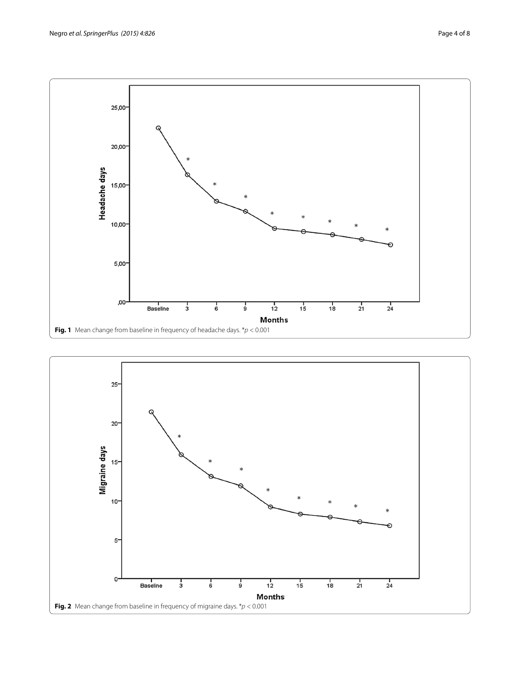

<span id="page-3-1"></span><span id="page-3-0"></span>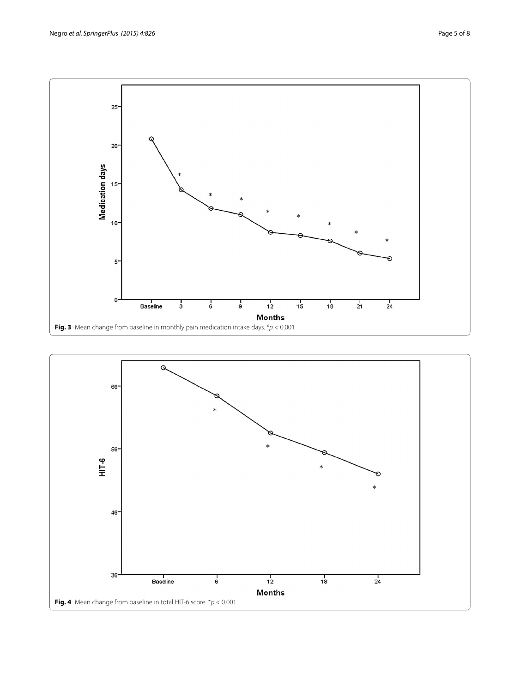

<span id="page-4-1"></span><span id="page-4-0"></span>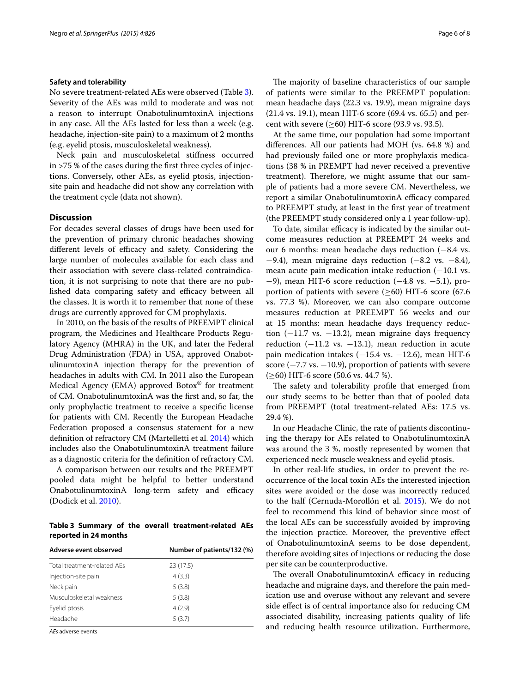#### **Safety and tolerability**

No severe treatment-related AEs were observed (Table [3](#page-5-0)). Severity of the AEs was mild to moderate and was not a reason to interrupt OnabotulinumtoxinA injections in any case. All the AEs lasted for less than a week (e.g. headache, injection-site pain) to a maximum of 2 months (e.g. eyelid ptosis, musculoskeletal weakness).

Neck pain and musculoskeletal stiffness occurred in >75 % of the cases during the first three cycles of injections. Conversely, other AEs, as eyelid ptosis, injectionsite pain and headache did not show any correlation with the treatment cycle (data not shown).

## **Discussion**

For decades several classes of drugs have been used for the prevention of primary chronic headaches showing different levels of efficacy and safety. Considering the large number of molecules available for each class and their association with severe class-related contraindication, it is not surprising to note that there are no published data comparing safety and efficacy between all the classes. It is worth it to remember that none of these drugs are currently approved for CM prophylaxis.

In 2010, on the basis of the results of PREEMPT clinical program, the Medicines and Healthcare Products Regulatory Agency (MHRA) in the UK, and later the Federal Drug Administration (FDA) in USA, approved OnabotulinumtoxinA injection therapy for the prevention of headaches in adults with CM. In 2011 also the European Medical Agency (EMA) approved Botox® for treatment of CM. OnabotulinumtoxinA was the first and, so far, the only prophylactic treatment to receive a specific license for patients with CM. Recently the European Headache Federation proposed a consensus statement for a new definition of refractory CM (Martelletti et al. [2014](#page-7-14)) which includes also the OnabotulinumtoxinA treatment failure as a diagnostic criteria for the definition of refractory CM.

A comparison between our results and the PREEMPT pooled data might be helpful to better understand OnabotulinumtoxinA long-term safety and efficacy (Dodick et al. [2010](#page-7-8)).

<span id="page-5-0"></span>**Table 3 Summary of the overall treatment-related AEs reported in 24 months**

| Adverse event observed      | Number of patients/132 (%) |
|-----------------------------|----------------------------|
| Total treatment-related AFs | 23 (17.5)                  |
| Injection-site pain         | 4(3.3)                     |
| Neck pain                   | 5(3.8)                     |
| Musculoskeletal weakness    | 5(3.8)                     |
| Eyelid ptosis               | 4(2.9)                     |
| Headache                    | 5(3.7)                     |
|                             |                            |

*AEs* adverse events

The majority of baseline characteristics of our sample of patients were similar to the PREEMPT population: mean headache days (22.3 vs. 19.9), mean migraine days (21.4 vs. 19.1), mean HIT-6 score (69.4 vs. 65.5) and percent with severe (≥60) HIT-6 score (93.9 vs. 93.5).

At the same time, our population had some important differences. All our patients had MOH (vs. 64.8 %) and had previously failed one or more prophylaxis medications (38 % in PREMPT had never received a preventive treatment). Therefore, we might assume that our sample of patients had a more severe CM. Nevertheless, we report a similar OnabotulinumtoxinA efficacy compared to PREEMPT study, at least in the first year of treatment (the PREEMPT study considered only a 1 year follow-up).

To date, similar efficacy is indicated by the similar outcome measures reduction at PREEMPT 24 weeks and our 6 months: mean headache days reduction (−8.4 vs. −9.4), mean migraine days reduction (−8.2 vs. −8.4), mean acute pain medication intake reduction (−10.1 vs. −9), mean HIT-6 score reduction (−4.8 vs. −5.1), proportion of patients with severe  $(\geq 60)$  HIT-6 score (67.6) vs. 77.3 %). Moreover, we can also compare outcome measures reduction at PREEMPT 56 weeks and our at 15 months: mean headache days frequency reduction  $(-11.7 \text{ vs. } -13.2)$ , mean migraine days frequency reduction  $(-11.2 \text{ vs. } -13.1)$ , mean reduction in acute pain medication intakes (-15.4 vs. -12.6), mean HIT-6 score  $(-7.7 \text{ vs. } -10.9)$ , proportion of patients with severe (≥60) HIT-6 score (50.6 vs. 44.7 %).

The safety and tolerability profile that emerged from our study seems to be better than that of pooled data from PREEMPT (total treatment-related AEs: 17.5 vs. 29.4 %).

In our Headache Clinic, the rate of patients discontinuing the therapy for AEs related to OnabotulinumtoxinA was around the 3 %, mostly represented by women that experienced neck muscle weakness and eyelid ptosis.

In other real-life studies, in order to prevent the reoccurrence of the local toxin AEs the interested injection sites were avoided or the dose was incorrectly reduced to the half (Cernuda-Morollón et al. [2015](#page-7-15)). We do not feel to recommend this kind of behavior since most of the local AEs can be successfully avoided by improving the injection practice. Moreover, the preventive effect of OnabotulinumtoxinA seems to be dose dependent, therefore avoiding sites of injections or reducing the dose per site can be counterproductive.

The overall OnabotulinumtoxinA efficacy in reducing headache and migraine days, and therefore the pain medication use and overuse without any relevant and severe side effect is of central importance also for reducing CM associated disability, increasing patients quality of life and reducing health resource utilization. Furthermore,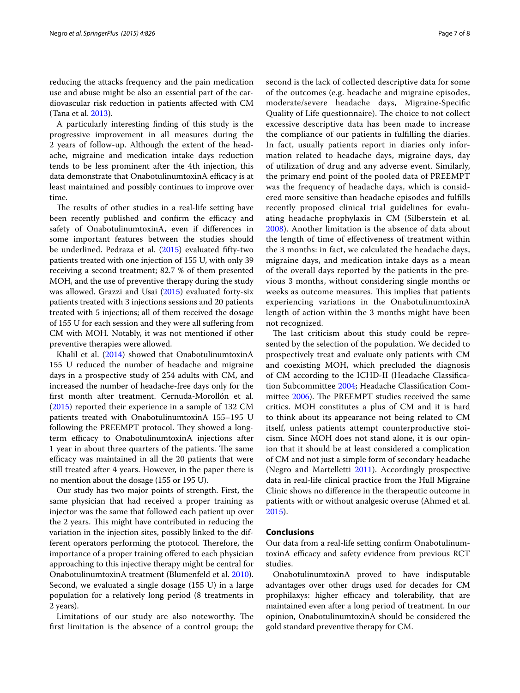reducing the attacks frequency and the pain medication use and abuse might be also an essential part of the cardiovascular risk reduction in patients affected with CM (Tana et al. [2013\)](#page-7-4).

A particularly interesting finding of this study is the progressive improvement in all measures during the 2 years of follow-up. Although the extent of the headache, migraine and medication intake days reduction tends to be less prominent after the 4th injection, this data demonstrate that OnabotulinumtoxinA efficacy is at least maintained and possibly continues to improve over time.

The results of other studies in a real-life setting have been recently published and confirm the efficacy and safety of OnabotulinumtoxinA, even if differences in some important features between the studies should be underlined. Pedraza et al. [\(2015](#page-7-16)) evaluated fifty-two patients treated with one injection of 155 U, with only 39 receiving a second treatment; 82.7 % of them presented MOH, and the use of preventive therapy during the study was allowed. Grazzi and Usai ([2015\)](#page-7-17) evaluated forty-six patients treated with 3 injections sessions and 20 patients treated with 5 injections; all of them received the dosage of 155 U for each session and they were all suffering from CM with MOH. Notably, it was not mentioned if other preventive therapies were allowed.

Khalil et al. [\(2014](#page-7-18)) showed that OnabotulinumtoxinA 155 U reduced the number of headache and migraine days in a prospective study of 254 adults with CM, and increased the number of headache-free days only for the first month after treatment. Cernuda-Morollón et al. ([2015\)](#page-7-15) reported their experience in a sample of 132 CM patients treated with OnabotulinumtoxinA 155–195 U following the PREEMPT protocol. They showed a longterm efficacy to OnabotulinumtoxinA injections after 1 year in about three quarters of the patients. The same efficacy was maintained in all the 20 patients that were still treated after 4 years. However, in the paper there is no mention about the dosage (155 or 195 U).

Our study has two major points of strength. First, the same physician that had received a proper training as injector was the same that followed each patient up over the 2 years. This might have contributed in reducing the variation in the injection sites, possibly linked to the different operators performing the ptotocol. Therefore, the importance of a proper training offered to each physician approaching to this injective therapy might be central for OnabotulinumtoxinA treatment (Blumenfeld et al. [2010](#page-7-12)). Second, we evaluated a single dosage (155 U) in a large population for a relatively long period (8 treatments in 2 years).

Limitations of our study are also noteworthy. The first limitation is the absence of a control group; the

second is the lack of collected descriptive data for some of the outcomes (e.g. headache and migraine episodes, moderate/severe headache days, Migraine-Specific Quality of Life questionnaire). The choice to not collect excessive descriptive data has been made to increase the compliance of our patients in fulfilling the diaries. In fact, usually patients report in diaries only information related to headache days, migraine days, day of utilization of drug and any adverse event. Similarly, the primary end point of the pooled data of PREEMPT was the frequency of headache days, which is considered more sensitive than headache episodes and fulfills recently proposed clinical trial guidelines for evaluating headache prophylaxis in CM (Silberstein et al. [2008\)](#page-7-19). Another limitation is the absence of data about the length of time of effectiveness of treatment within the 3 months: in fact, we calculated the headache days, migraine days, and medication intake days as a mean of the overall days reported by the patients in the previous 3 months, without considering single months or weeks as outcome measures. This implies that patients experiencing variations in the OnabotulinumtoxinA length of action within the 3 months might have been not recognized.

The last criticism about this study could be represented by the selection of the population. We decided to prospectively treat and evaluate only patients with CM and coexisting MOH, which precluded the diagnosis of CM according to the ICHD-II (Headache Classification Subcommittee [2004](#page-7-10); Headache Classification Committee [2006\)](#page-7-11). The PREEMPT studies received the same critics. MOH constitutes a plus of CM and it is hard to think about its appearance not being related to CM itself, unless patients attempt counterproductive stoicism. Since MOH does not stand alone, it is our opinion that it should be at least considered a complication of CM and not just a simple form of secondary headache (Negro and Martelletti [2011](#page-7-20)). Accordingly prospective data in real-life clinical practice from the Hull Migraine Clinic shows no difference in the therapeutic outcome in patients with or without analgesic overuse (Ahmed et al. [2015\)](#page-7-21).

#### **Conclusions**

Our data from a real-life setting confirm OnabotulinumtoxinA efficacy and safety evidence from previous RCT studies.

OnabotulinumtoxinA proved to have indisputable advantages over other drugs used for decades for CM prophilaxys: higher efficacy and tolerability, that are maintained even after a long period of treatment. In our opinion, OnabotulinumtoxinA should be considered the gold standard preventive therapy for CM.